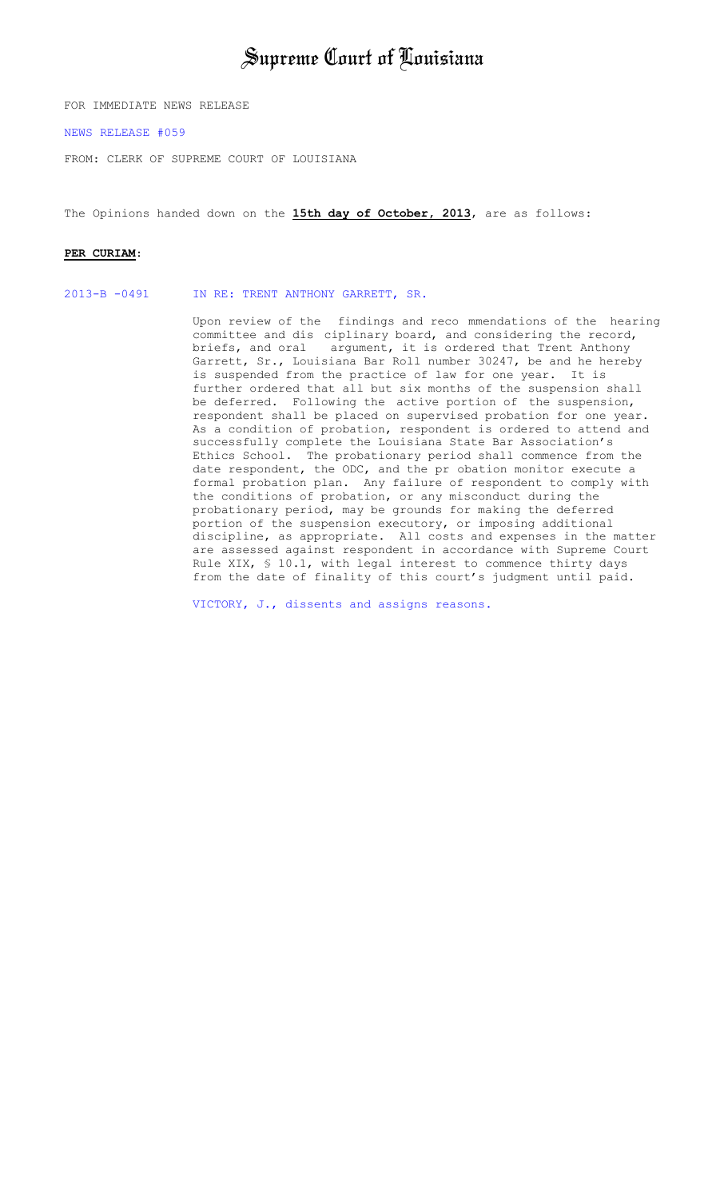## Supreme Court of Louisiana

FOR IMMEDIATE NEWS RELEASE

[NEWS RELEASE #059](http://www.lasc.org/Opinions?p=2013-059) 

FROM: CLERK OF SUPREME COURT OF LOUISIANA

The Opinions handed down on the **15th day of October, 2013**, are as follows:

#### **PER CURIAM**:

[2013-B -0491 IN RE: TRENT ANTHONY GARRETT, SR.](#page-1-0) 

Upon review of the findings and reco mmendations of the hearing committee and dis ciplinary board, and considering the record,<br>briefs, and oral argument, it is ordered that Trent Anthony argument, it is ordered that Trent Anthony Garrett, Sr., Louisiana Bar Roll number 30247, be and he hereby is suspended from the practice of law for one year. It is further ordered that all but six months of the suspension shall be deferred. Following the active portion of the suspension, respondent shall be placed on supervised probation for one year. As a condition of probation, respondent is ordered to attend and successfully complete the Louisiana State Bar Association's Ethics School. The probationary period shall commence from the date respondent, the ODC, and the pr obation monitor execute a formal probation plan. Any failure of respondent to comply with the conditions of probation, or any misconduct during the probationary period, may be grounds for making the deferred portion of the suspension executory, or imposing additional discipline, as appropriate. All costs and expenses in the matter are assessed against respondent in accordance with Supreme Court Rule XIX, § 10.1, with legal interest to commence thirty days from the date of finality of this court's judgment until paid.

[VICTORY, J., dissents and assigns reasons.](#page-11-0)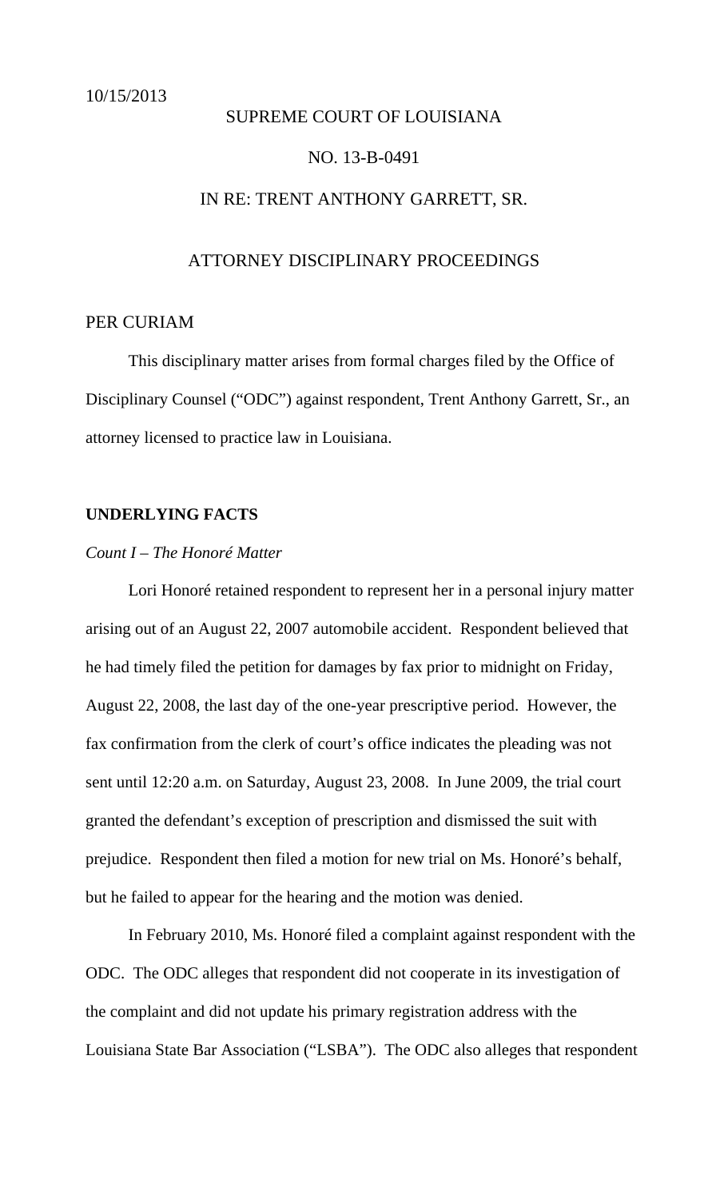#### <span id="page-1-0"></span>SUPREME COURT OF LOUISIANA

#### NO. 13-B-0491

### IN RE: TRENT ANTHONY GARRETT, SR.

#### ATTORNEY DISCIPLINARY PROCEEDINGS

### PER CURIAM

 This disciplinary matter arises from formal charges filed by the Office of Disciplinary Counsel ("ODC") against respondent, Trent Anthony Garrett, Sr., an attorney licensed to practice law in Louisiana.

#### **UNDERLYING FACTS**

#### *Count I – The Honoré Matter*

 Lori Honoré retained respondent to represent her in a personal injury matter arising out of an August 22, 2007 automobile accident. Respondent believed that he had timely filed the petition for damages by fax prior to midnight on Friday, August 22, 2008, the last day of the one-year prescriptive period. However, the fax confirmation from the clerk of court's office indicates the pleading was not sent until 12:20 a.m. on Saturday, August 23, 2008. In June 2009, the trial court granted the defendant's exception of prescription and dismissed the suit with prejudice. Respondent then filed a motion for new trial on Ms. Honoré's behalf, but he failed to appear for the hearing and the motion was denied.

In February 2010, Ms. Honoré filed a complaint against respondent with the ODC. The ODC alleges that respondent did not cooperate in its investigation of the complaint and did not update his primary registration address with the Louisiana State Bar Association ("LSBA"). The ODC also alleges that respondent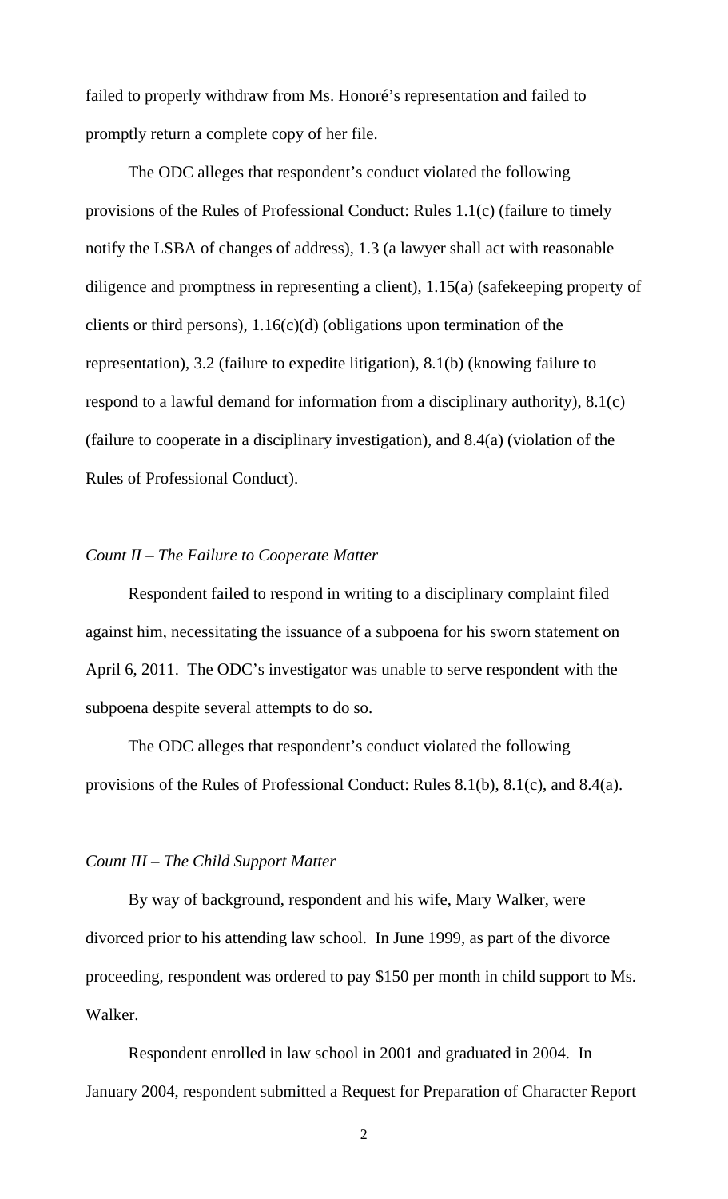failed to properly withdraw from Ms. Honoré's representation and failed to promptly return a complete copy of her file.

The ODC alleges that respondent's conduct violated the following provisions of the Rules of Professional Conduct: Rules 1.1(c) (failure to timely notify the LSBA of changes of address), 1.3 (a lawyer shall act with reasonable diligence and promptness in representing a client), 1.15(a) (safekeeping property of clients or third persons), 1.16(c)(d) (obligations upon termination of the representation), 3.2 (failure to expedite litigation), 8.1(b) (knowing failure to respond to a lawful demand for information from a disciplinary authority), 8.1(c) (failure to cooperate in a disciplinary investigation), and 8.4(a) (violation of the Rules of Professional Conduct).

#### *Count II – The Failure to Cooperate Matter*

 Respondent failed to respond in writing to a disciplinary complaint filed against him, necessitating the issuance of a subpoena for his sworn statement on April 6, 2011. The ODC's investigator was unable to serve respondent with the subpoena despite several attempts to do so.

The ODC alleges that respondent's conduct violated the following provisions of the Rules of Professional Conduct: Rules 8.1(b), 8.1(c), and 8.4(a).

#### *Count III – The Child Support Matter*

 By way of background, respondent and his wife, Mary Walker, were divorced prior to his attending law school. In June 1999, as part of the divorce proceeding, respondent was ordered to pay \$150 per month in child support to Ms. Walker.

Respondent enrolled in law school in 2001 and graduated in 2004. In January 2004, respondent submitted a Request for Preparation of Character Report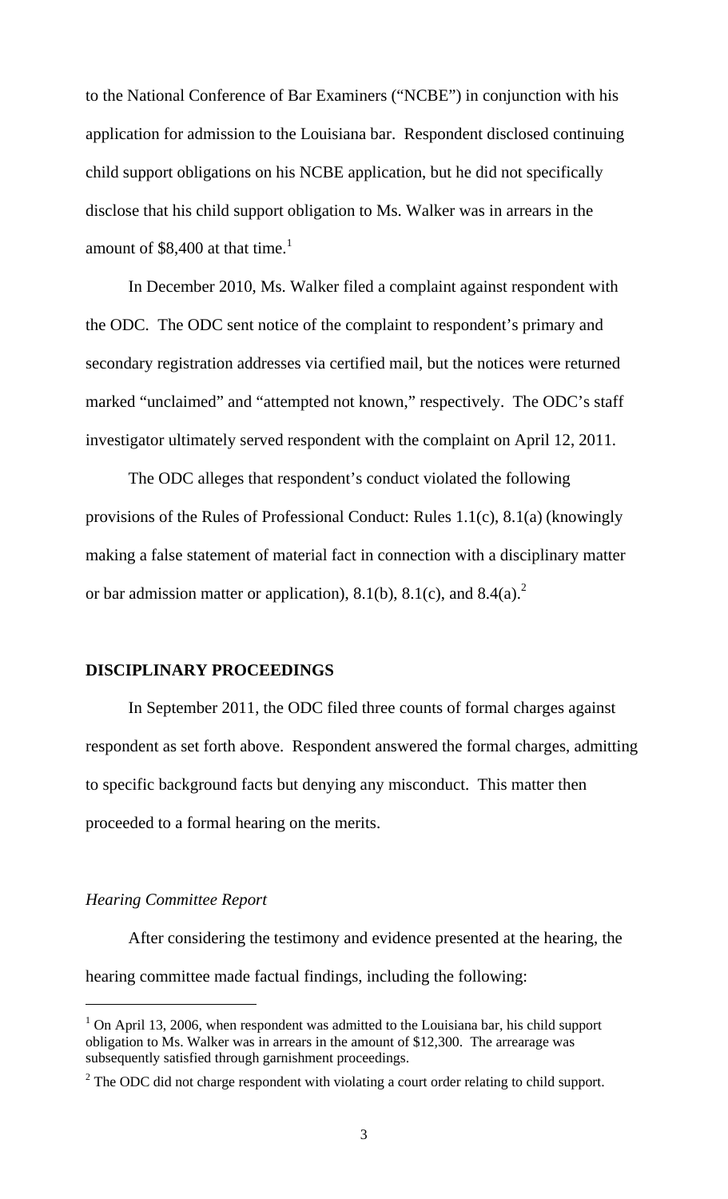to the National Conference of Bar Examiners ("NCBE") in conjunction with his application for admission to the Louisiana bar. Respondent disclosed continuing child support obligations on his NCBE application, but he did not specifically disclose that his child support obligation to Ms. Walker was in arrears in the amount of \$8,400 at that time.<sup>1</sup>

 In December 2010, Ms. Walker filed a complaint against respondent with the ODC. The ODC sent notice of the complaint to respondent's primary and secondary registration addresses via certified mail, but the notices were returned marked "unclaimed" and "attempted not known," respectively. The ODC's staff investigator ultimately served respondent with the complaint on April 12, 2011.

The ODC alleges that respondent's conduct violated the following provisions of the Rules of Professional Conduct: Rules 1.1(c), 8.1(a) (knowingly making a false statement of material fact in connection with a disciplinary matter or bar admission matter or application), 8.1(b), 8.1(c), and 8.4(a).<sup>2</sup>

#### **DISCIPLINARY PROCEEDINGS**

In September 2011, the ODC filed three counts of formal charges against respondent as set forth above. Respondent answered the formal charges, admitting to specific background facts but denying any misconduct. This matter then proceeded to a formal hearing on the merits.

#### *Hearing Committee Report*

l

 After considering the testimony and evidence presented at the hearing, the hearing committee made factual findings, including the following:

<sup>&</sup>lt;sup>1</sup> On April 13, 2006, when respondent was admitted to the Louisiana bar, his child support obligation to Ms. Walker was in arrears in the amount of \$12,300. The arrearage was subsequently satisfied through garnishment proceedings.

 $2^2$  The ODC did not charge respondent with violating a court order relating to child support.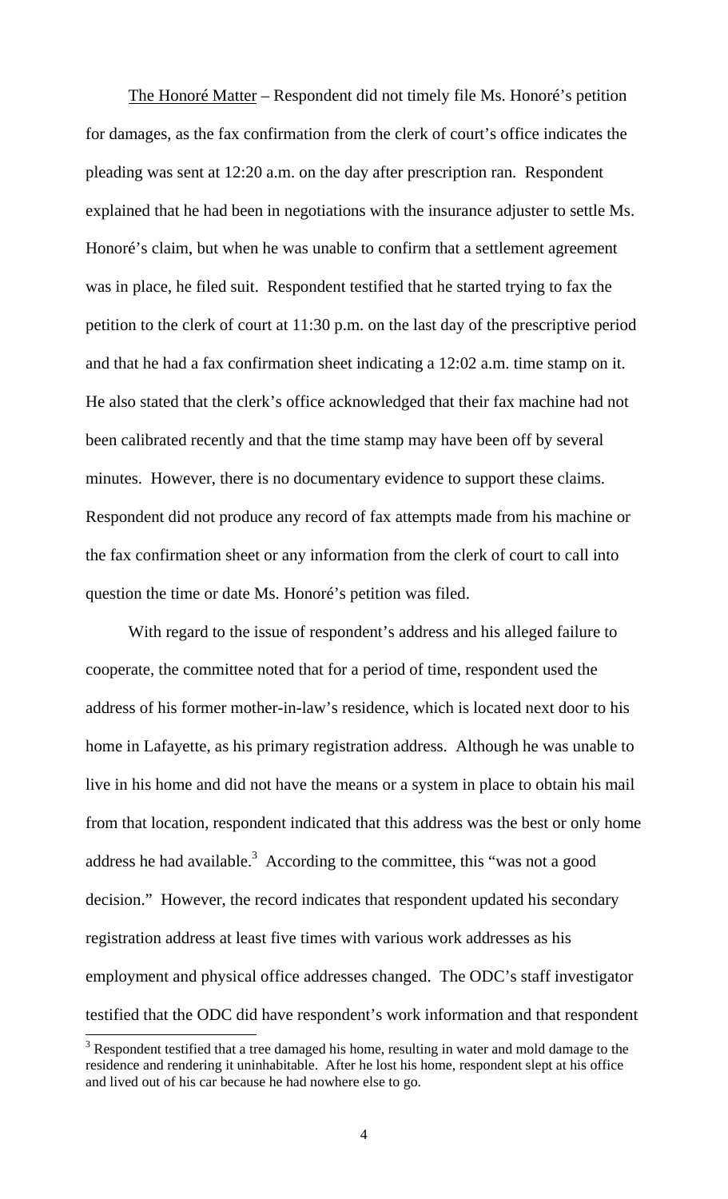The Honoré Matter – Respondent did not timely file Ms. Honoré's petition for damages, as the fax confirmation from the clerk of court's office indicates the pleading was sent at 12:20 a.m. on the day after prescription ran. Respondent explained that he had been in negotiations with the insurance adjuster to settle Ms. Honoré's claim, but when he was unable to confirm that a settlement agreement was in place, he filed suit. Respondent testified that he started trying to fax the petition to the clerk of court at 11:30 p.m. on the last day of the prescriptive period and that he had a fax confirmation sheet indicating a 12:02 a.m. time stamp on it. He also stated that the clerk's office acknowledged that their fax machine had not been calibrated recently and that the time stamp may have been off by several minutes. However, there is no documentary evidence to support these claims. Respondent did not produce any record of fax attempts made from his machine or the fax confirmation sheet or any information from the clerk of court to call into question the time or date Ms. Honoré's petition was filed.

With regard to the issue of respondent's address and his alleged failure to cooperate, the committee noted that for a period of time, respondent used the address of his former mother-in-law's residence, which is located next door to his home in Lafayette, as his primary registration address. Although he was unable to live in his home and did not have the means or a system in place to obtain his mail from that location, respondent indicated that this address was the best or only home address he had available.<sup>3</sup> According to the committee, this "was not a good decision." However, the record indicates that respondent updated his secondary registration address at least five times with various work addresses as his employment and physical office addresses changed. The ODC's staff investigator testified that the ODC did have respondent's work information and that respondent

 $\overline{a}$ 

 $3$  Respondent testified that a tree damaged his home, resulting in water and mold damage to the residence and rendering it uninhabitable. After he lost his home, respondent slept at his office and lived out of his car because he had nowhere else to go.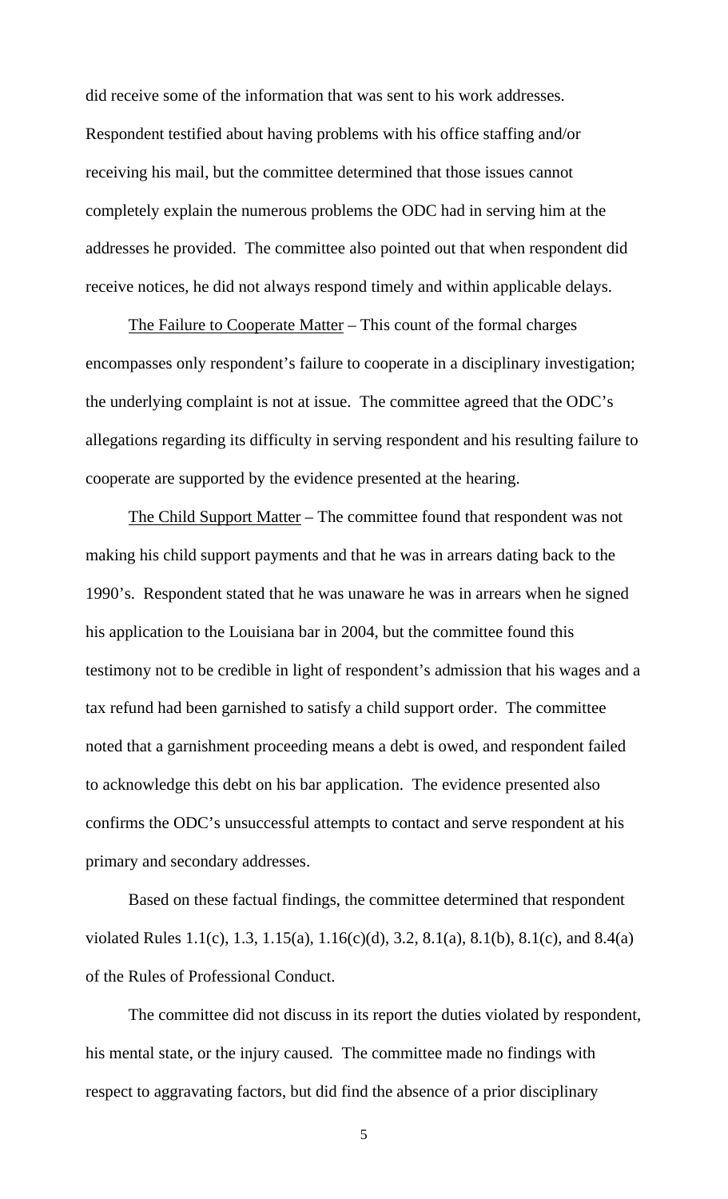did receive some of the information that was sent to his work addresses. Respondent testified about having problems with his office staffing and/or receiving his mail, but the committee determined that those issues cannot completely explain the numerous problems the ODC had in serving him at the addresses he provided. The committee also pointed out that when respondent did receive notices, he did not always respond timely and within applicable delays.

The Failure to Cooperate Matter – This count of the formal charges encompasses only respondent's failure to cooperate in a disciplinary investigation; the underlying complaint is not at issue. The committee agreed that the ODC's allegations regarding its difficulty in serving respondent and his resulting failure to cooperate are supported by the evidence presented at the hearing.

The Child Support Matter – The committee found that respondent was not making his child support payments and that he was in arrears dating back to the 1990's. Respondent stated that he was unaware he was in arrears when he signed his application to the Louisiana bar in 2004, but the committee found this testimony not to be credible in light of respondent's admission that his wages and a tax refund had been garnished to satisfy a child support order. The committee noted that a garnishment proceeding means a debt is owed, and respondent failed to acknowledge this debt on his bar application. The evidence presented also confirms the ODC's unsuccessful attempts to contact and serve respondent at his primary and secondary addresses.

Based on these factual findings, the committee determined that respondent violated Rules 1.1(c), 1.3, 1.15(a), 1.16(c)(d), 3.2, 8.1(a), 8.1(b), 8.1(c), and 8.4(a) of the Rules of Professional Conduct.

The committee did not discuss in its report the duties violated by respondent, his mental state, or the injury caused. The committee made no findings with respect to aggravating factors, but did find the absence of a prior disciplinary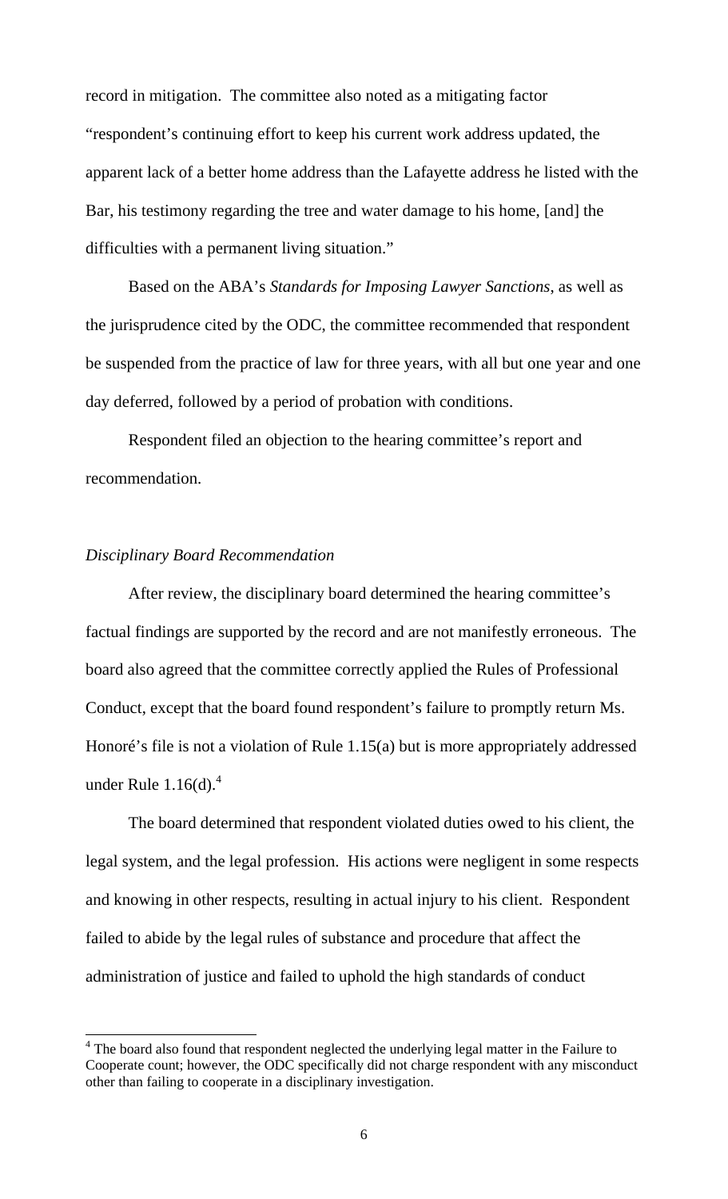record in mitigation. The committee also noted as a mitigating factor "respondent's continuing effort to keep his current work address updated, the apparent lack of a better home address than the Lafayette address he listed with the Bar, his testimony regarding the tree and water damage to his home, [and] the difficulties with a permanent living situation."

Based on the ABA's *Standards for Imposing Lawyer Sanctions*, as well as the jurisprudence cited by the ODC, the committee recommended that respondent be suspended from the practice of law for three years, with all but one year and one day deferred, followed by a period of probation with conditions.

Respondent filed an objection to the hearing committee's report and recommendation.

### *Disciplinary Board Recommendation*

 After review, the disciplinary board determined the hearing committee's factual findings are supported by the record and are not manifestly erroneous. The board also agreed that the committee correctly applied the Rules of Professional Conduct, except that the board found respondent's failure to promptly return Ms. Honoré's file is not a violation of Rule 1.15(a) but is more appropriately addressed under Rule  $1.16(d)$ .<sup>4</sup>

The board determined that respondent violated duties owed to his client, the legal system, and the legal profession. His actions were negligent in some respects and knowing in other respects, resulting in actual injury to his client. Respondent failed to abide by the legal rules of substance and procedure that affect the administration of justice and failed to uphold the high standards of conduct

<sup>&</sup>lt;sup>4</sup> The board also found that respondent neglected the underlying legal matter in the Failure to Cooperate count; however, the ODC specifically did not charge respondent with any misconduct other than failing to cooperate in a disciplinary investigation.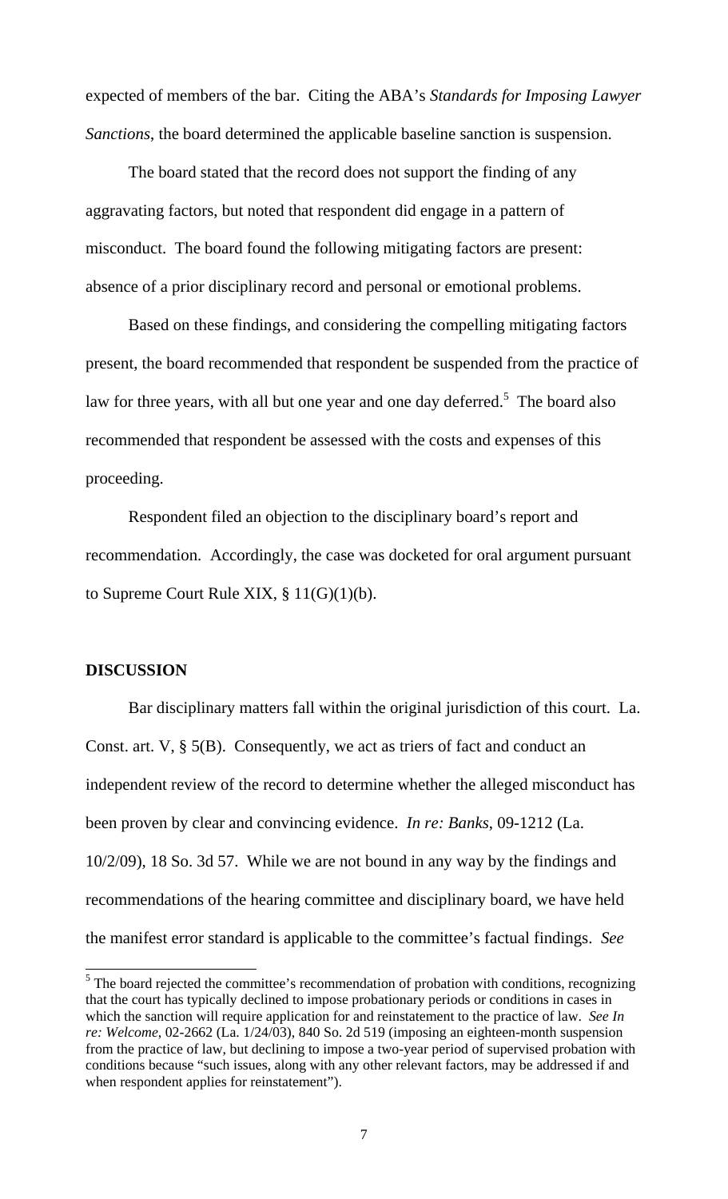expected of members of the bar. Citing the ABA's *Standards for Imposing Lawyer Sanctions*, the board determined the applicable baseline sanction is suspension.

The board stated that the record does not support the finding of any aggravating factors, but noted that respondent did engage in a pattern of misconduct. The board found the following mitigating factors are present: absence of a prior disciplinary record and personal or emotional problems.

Based on these findings, and considering the compelling mitigating factors present, the board recommended that respondent be suspended from the practice of law for three years, with all but one year and one day deferred.<sup>5</sup> The board also recommended that respondent be assessed with the costs and expenses of this proceeding.

 Respondent filed an objection to the disciplinary board's report and recommendation. Accordingly, the case was docketed for oral argument pursuant to Supreme Court Rule XIX, § 11(G)(1)(b).

#### **DISCUSSION**

 Bar disciplinary matters fall within the original jurisdiction of this court. La. Const. art. V, § 5(B). Consequently, we act as triers of fact and conduct an independent review of the record to determine whether the alleged misconduct has been proven by clear and convincing evidence. *In re: Banks*, 09-1212 (La. 10/2/09), 18 So. 3d 57. While we are not bound in any way by the findings and recommendations of the hearing committee and disciplinary board, we have held the manifest error standard is applicable to the committee's factual findings. *See* 

<sup>&</sup>lt;sup>5</sup>The board rejected the committee's recommendation of probation with conditions, recognizing that the court has typically declined to impose probationary periods or conditions in cases in which the sanction will require application for and reinstatement to the practice of law. *See In re: Welcome*, 02-2662 (La. 1/24/03), 840 So. 2d 519 (imposing an eighteen-month suspension from the practice of law, but declining to impose a two-year period of supervised probation with conditions because "such issues, along with any other relevant factors, may be addressed if and when respondent applies for reinstatement").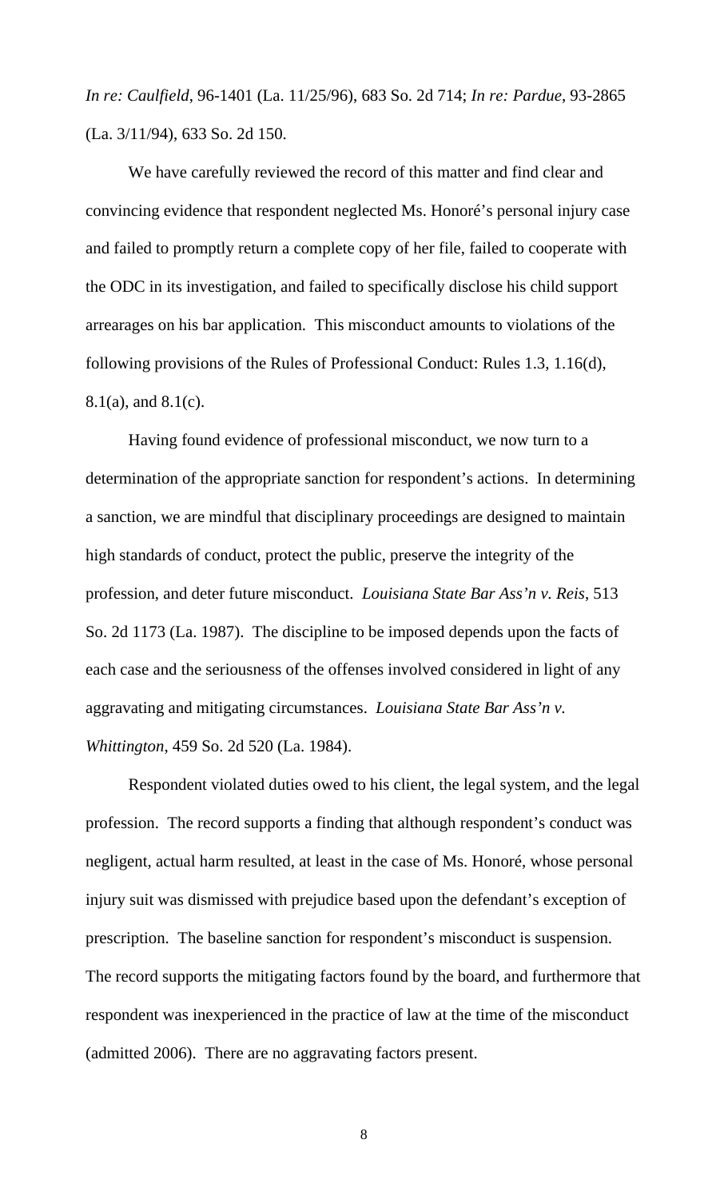*In re: Caulfield*, 96-1401 (La. 11/25/96), 683 So. 2d 714; *In re: Pardue*, 93-2865 (La. 3/11/94), 633 So. 2d 150.

We have carefully reviewed the record of this matter and find clear and convincing evidence that respondent neglected Ms. Honoré's personal injury case and failed to promptly return a complete copy of her file, failed to cooperate with the ODC in its investigation, and failed to specifically disclose his child support arrearages on his bar application. This misconduct amounts to violations of the following provisions of the Rules of Professional Conduct: Rules 1.3, 1.16(d), 8.1(a), and 8.1(c).

Having found evidence of professional misconduct, we now turn to a determination of the appropriate sanction for respondent's actions. In determining a sanction, we are mindful that disciplinary proceedings are designed to maintain high standards of conduct, protect the public, preserve the integrity of the profession, and deter future misconduct. *Louisiana State Bar Ass'n v. Reis*, 513 So. 2d 1173 (La. 1987). The discipline to be imposed depends upon the facts of each case and the seriousness of the offenses involved considered in light of any aggravating and mitigating circumstances. *Louisiana State Bar Ass'n v. Whittington*, 459 So. 2d 520 (La. 1984).

Respondent violated duties owed to his client, the legal system, and the legal profession. The record supports a finding that although respondent's conduct was negligent, actual harm resulted, at least in the case of Ms. Honoré, whose personal injury suit was dismissed with prejudice based upon the defendant's exception of prescription. The baseline sanction for respondent's misconduct is suspension. The record supports the mitigating factors found by the board, and furthermore that respondent was inexperienced in the practice of law at the time of the misconduct (admitted 2006). There are no aggravating factors present.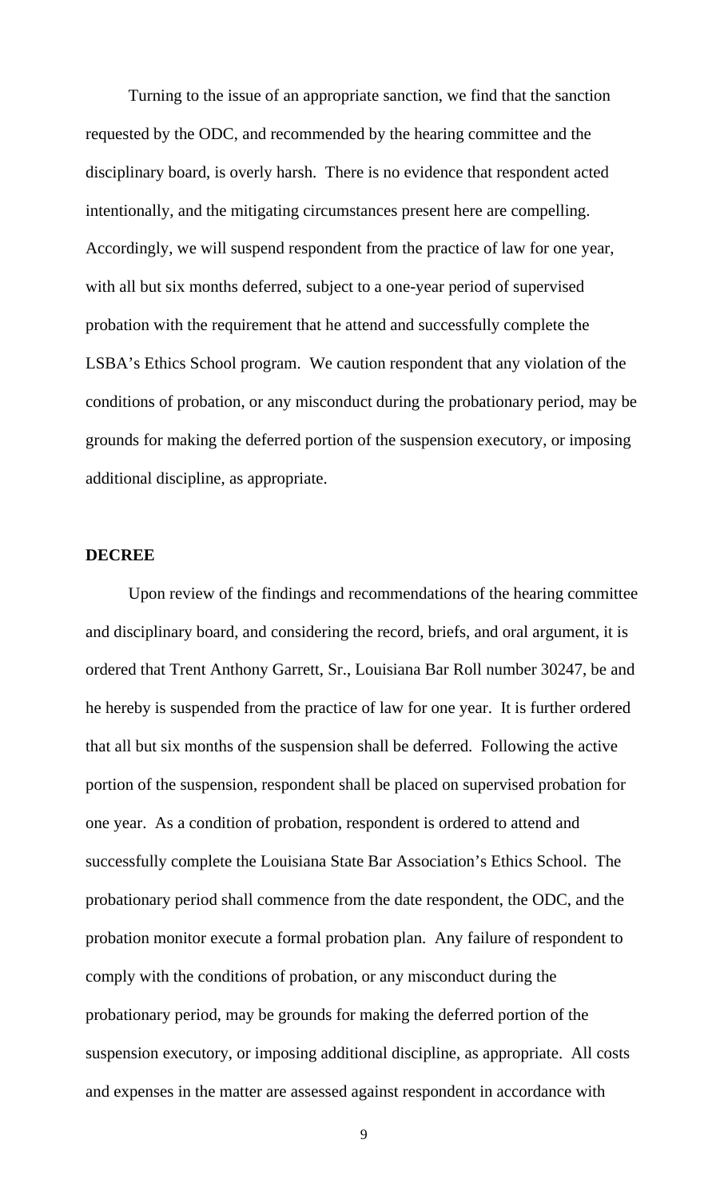Turning to the issue of an appropriate sanction, we find that the sanction requested by the ODC, and recommended by the hearing committee and the disciplinary board, is overly harsh. There is no evidence that respondent acted intentionally, and the mitigating circumstances present here are compelling. Accordingly, we will suspend respondent from the practice of law for one year, with all but six months deferred, subject to a one-year period of supervised probation with the requirement that he attend and successfully complete the LSBA's Ethics School program. We caution respondent that any violation of the conditions of probation, or any misconduct during the probationary period, may be grounds for making the deferred portion of the suspension executory, or imposing additional discipline, as appropriate.

#### **DECREE**

 Upon review of the findings and recommendations of the hearing committee and disciplinary board, and considering the record, briefs, and oral argument, it is ordered that Trent Anthony Garrett, Sr., Louisiana Bar Roll number 30247, be and he hereby is suspended from the practice of law for one year. It is further ordered that all but six months of the suspension shall be deferred. Following the active portion of the suspension, respondent shall be placed on supervised probation for one year. As a condition of probation, respondent is ordered to attend and successfully complete the Louisiana State Bar Association's Ethics School. The probationary period shall commence from the date respondent, the ODC, and the probation monitor execute a formal probation plan. Any failure of respondent to comply with the conditions of probation, or any misconduct during the probationary period, may be grounds for making the deferred portion of the suspension executory, or imposing additional discipline, as appropriate. All costs and expenses in the matter are assessed against respondent in accordance with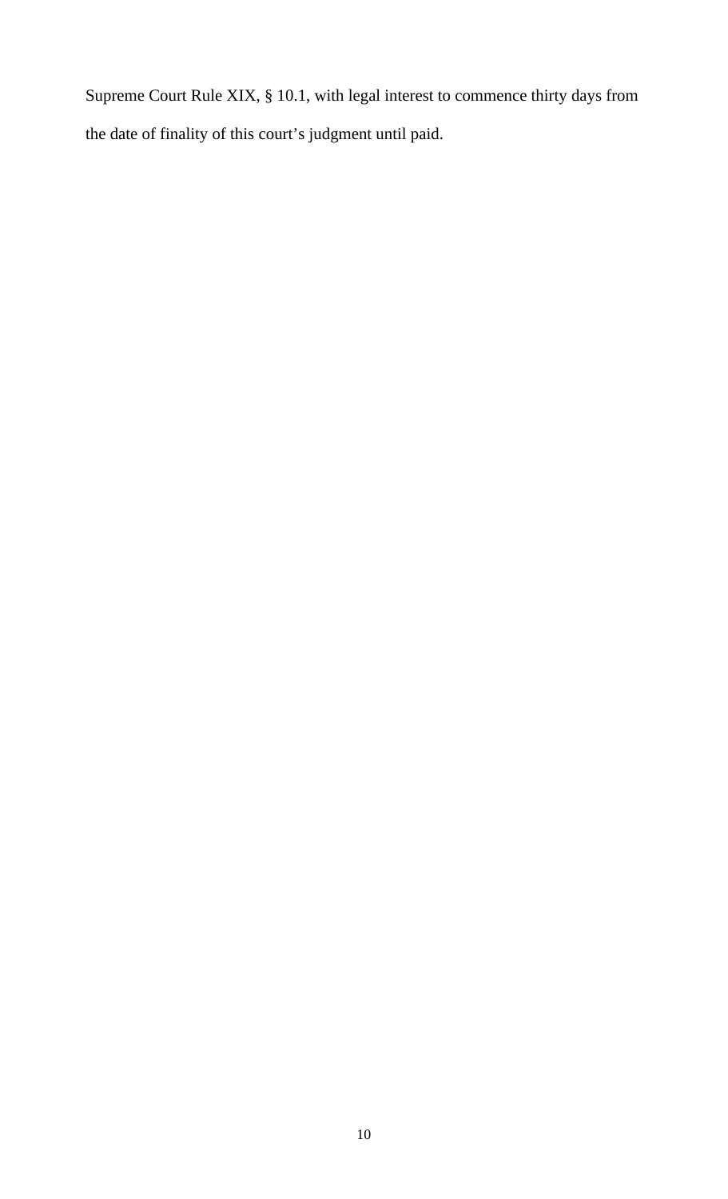Supreme Court Rule XIX, § 10.1, with legal interest to commence thirty days from the date of finality of this court's judgment until paid.